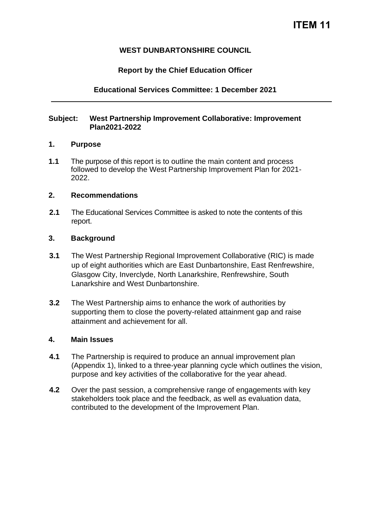# **WEST DUNBARTONSHIRE COUNCIL**

## **Report by the Chief Education Officer**

### **Educational Services Committee: 1 December 2021**

#### **Subject: West Partnership Improvement Collaborative: Improvement Plan2021-2022**

#### **1. Purpose**

**1.1** The purpose of this report is to outline the main content and process followed to develop the West Partnership Improvement Plan for 2021- 2022.

#### **2. Recommendations**

**2.1** The Educational Services Committee is asked to note the contents of this report.

#### **3. Background**

- **3.1** The West Partnership Regional Improvement Collaborative (RIC) is made up of eight authorities which are East Dunbartonshire, East Renfrewshire, Glasgow City, Inverclyde, North Lanarkshire, Renfrewshire, South Lanarkshire and West Dunbartonshire.
- **3.2** The West Partnership aims to enhance the work of authorities by supporting them to close the poverty-related attainment gap and raise attainment and achievement for all.

### **4. Main Issues**

- **4.1** The Partnership is required to produce an annual improvement plan (Appendix 1), linked to a three-year planning cycle which outlines the vision, purpose and key activities of the collaborative for the year ahead.
- **4.2** Over the past session, a comprehensive range of engagements with key stakeholders took place and the feedback, as well as evaluation data, contributed to the development of the Improvement Plan.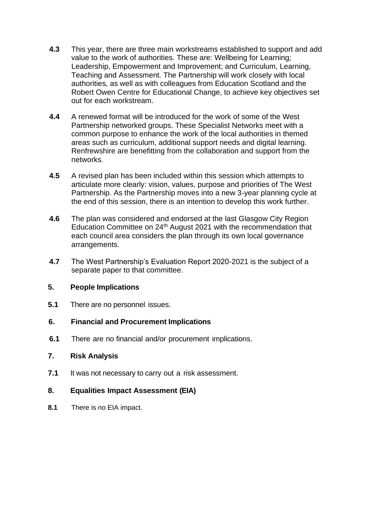- **4.3** This year, there are three main workstreams established to support and add value to the work of authorities. These are: Wellbeing for Learning; Leadership, Empowerment and Improvement; and Curriculum, Learning, Teaching and Assessment. The Partnership will work closely with local authorities, as well as with colleagues from Education Scotland and the Robert Owen Centre for Educational Change, to achieve key objectives set out for each workstream.
- **4.4** A renewed format will be introduced for the work of some of the West Partnership networked groups. These Specialist Networks meet with a common purpose to enhance the work of the local authorities in themed areas such as curriculum, additional support needs and digital learning. Renfrewshire are benefitting from the collaboration and support from the networks.
- **4.5** A revised plan has been included within this session which attempts to articulate more clearly: vision, values, purpose and priorities of The West Partnership. As the Partnership moves into a new 3-year planning cycle at the end of this session, there is an intention to develop this work further.
- **4.6** The plan was considered and endorsed at the last Glasgow City Region Education Committee on 24<sup>th</sup> August 2021 with the recommendation that each council area considers the plan through its own local governance arrangements.
- **4.7** The West Partnership's Evaluation Report 2020-2021 is the subject of a separate paper to that committee.

### **5. People Implications**

**5.1** There are no personnel issues.

# **6. Financial and Procurement Implications**

**6.1** There are no financial and/or procurement implications.

### **7. Risk Analysis**

**7.1** It was not necessary to carry out a risk assessment.

# **8. Equalities Impact Assessment (EIA)**

**8.1** There is no EIA impact.